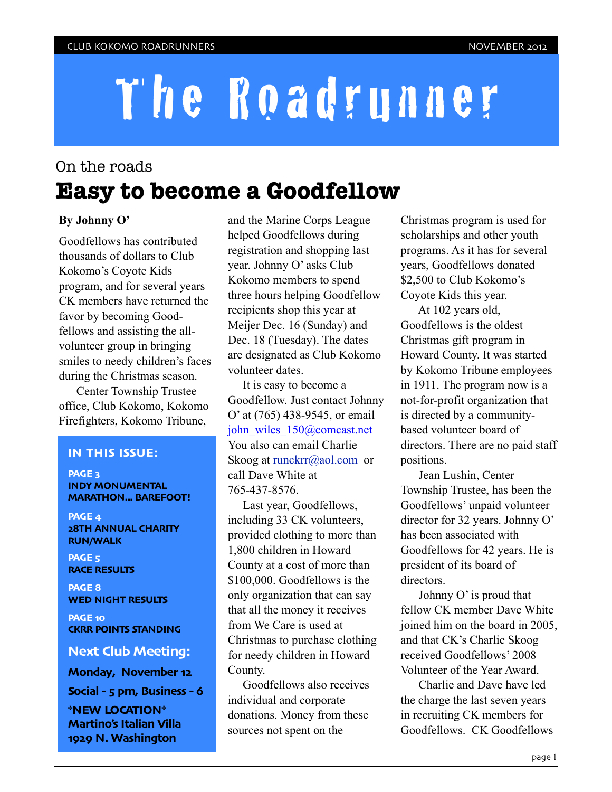# The Roadrunner

### On the roads **Easy to become a Goodfellow**

#### **By Johnny O'**

Goodfellows has contributed thousands of dollars to Club Kokomo's Coyote Kids program, and for several years CK members have returned the favor by becoming Goodfellows and assisting the allvolunteer group in bringing smiles to needy children's faces during the Christmas season.

Center Township Trustee office, Club Kokomo, Kokomo Firefighters, Kokomo Tribune,

#### **IN THIS ISSUE:**

**PAGE 3 INDY MONUMENTAL MARATHON... BAREFOOT!**

**PAGE 4 28TH ANNUAL CHARITY RUN/WALK**

**PAGE 5 RACE RESULTS**

**PAGE 8 WED NIGHT RESULTS**

**PAGE 10 CKRR POINTS STANDING**

#### **Next Club Meeting:**

**Monday, November 12**

**Social - 5 pm, Business - 6 \*NEW LOCATION\*** 

**Martino's Italian Villa 1929 N. Washington**

and the Marine Corps League helped Goodfellows during registration and shopping last year. Johnny O' asks Club Kokomo members to spend three hours helping Goodfellow recipients shop this year at Meijer Dec. 16 (Sunday) and Dec. 18 (Tuesday). The dates are designated as Club Kokomo volunteer dates.

It is easy to become a Goodfellow. Just contact Johnny O' at (765) 438-9545, or email john\_wiles\_150@comcast.net You also can email Charlie Skoog at [runckrr@aol.com](mailto:runckrr@aol.com) or call Dave White at 765-437-8576.

Last year, Goodfellows, including 33 CK volunteers, provided clothing to more than 1,800 children in Howard County at a cost of more than \$100,000. Goodfellows is the only organization that can say that all the money it receives from We Care is used at Christmas to purchase clothing for needy children in Howard County.

Goodfellows also receives individual and corporate donations. Money from these sources not spent on the

Christmas program is used for scholarships and other youth programs. As it has for several years, Goodfellows donated \$2,500 to Club Kokomo's Coyote Kids this year.

 At 102 years old, Goodfellows is the oldest Christmas gift program in Howard County. It was started by Kokomo Tribune employees in 1911. The program now is a not-for-profit organization that is directed by a communitybased volunteer board of directors. There are no paid staff positions.

 Jean Lushin, Center Township Trustee, has been the Goodfellows' unpaid volunteer director for 32 years. Johnny O' has been associated with Goodfellows for 42 years. He is president of its board of directors.

 Johnny O' is proud that fellow CK member Dave White joined him on the board in 2005, and that CK's Charlie Skoog received Goodfellows' 2008 Volunteer of the Year Award.

 Charlie and Dave have led the charge the last seven years in recruiting CK members for Goodfellows. CK Goodfellows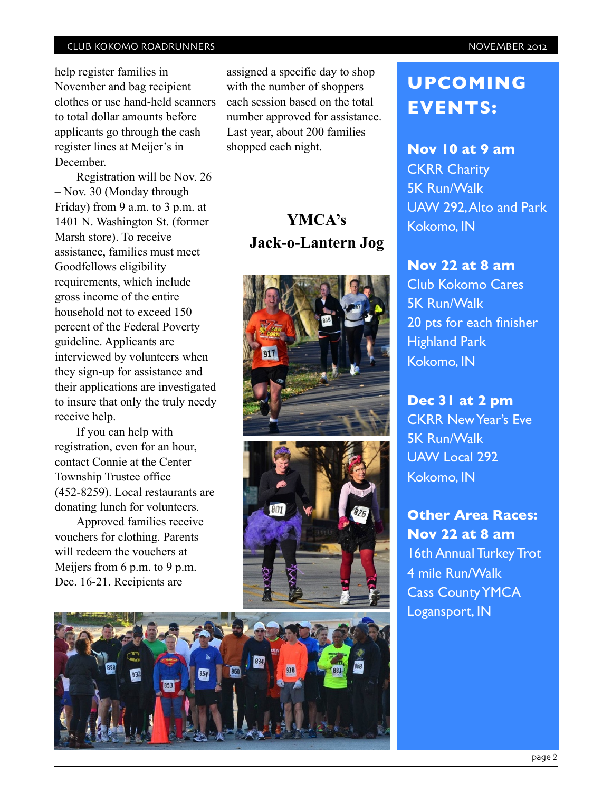help register families in November and bag recipient clothes or use hand-held scanners to total dollar amounts before applicants go through the cash register lines at Meijer's in December.

Registration will be Nov. 26 – Nov. 30 (Monday through Friday) from 9 a.m. to 3 p.m. at 1401 N. Washington St. (former Marsh store). To receive assistance, families must meet Goodfellows eligibility requirements, which include gross income of the entire household not to exceed 150 percent of the Federal Poverty guideline. Applicants are interviewed by volunteers when they sign-up for assistance and their applications are investigated to insure that only the truly needy receive help.

If you can help with registration, even for an hour, contact Connie at the Center Township Trustee office (452-8259). Local restaurants are donating lunch for volunteers.

Approved families receive vouchers for clothing. Parents will redeem the vouchers at Meijers from 6 p.m. to 9 p.m. Dec. 16-21. Recipients are

assigned a specific day to shop with the number of shoppers each session based on the total number approved for assistance. Last year, about 200 families shopped each night.

### **YMCA's Jack-o-Lantern Jog**





### **UPCOMING EVENTS:**

**Nov 10 at 9 am**

**CKRR Charity** 5K Run/Walk UAW 292, Alto and Park Kokomo, IN

### **Nov 22 at 8 am**

Club Kokomo Cares 5K Run/Walk 20 pts for each finisher Highland Park Kokomo, IN

**Dec 31 at 2 pm** CKRR New Year's Eve 5K Run/Walk UAW Local 292 Kokomo, IN

**Other Area Races: Nov 22 at 8 am** 16th Annual Turkey Trot 4 mile Run/Walk Cass County YMCA Logansport, IN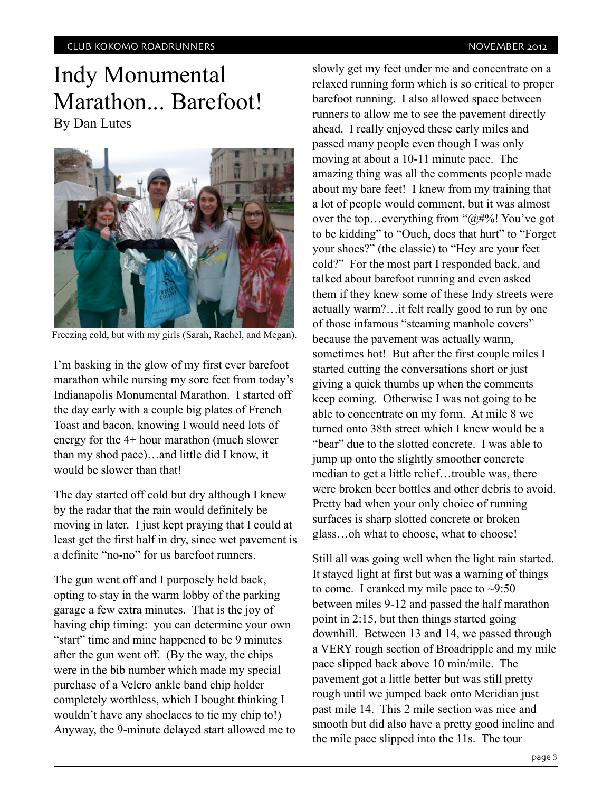### Indy Monumental Marathon... Barefoot! By Dan Lutes



Freezing cold, but with my girls (Sarah, Rachel, and Megan).

I'm basking in the glow of my first ever barefoot marathon while nursing my sore feet from today's Indianapolis Monumental Marathon. I started off the day early with a couple big plates of French Toast and bacon, knowing I would need lots of energy for the 4+ hour marathon (much slower than my shod pace)…and little did I know, it would be slower than that!

The day started off cold but dry although I knew by the radar that the rain would definitely be moving in later. I just kept praying that I could at least get the first half in dry, since wet pavement is a definite "no-no" for us barefoot runners.

The gun went off and I purposely held back, opting to stay in the warm lobby of the parking garage a few extra minutes. That is the joy of having chip timing: you can determine your own "start" time and mine happened to be 9 minutes after the gun went off. (By the way, the chips were in the bib number which made my special purchase of a Velcro ankle band chip holder completely worthless, which I bought thinking I wouldn't have any shoelaces to tie my chip to!) Anyway, the 9-minute delayed start allowed me to slowly get my feet under me and concentrate on a relaxed running form which is so critical to proper barefoot running. I also allowed space between runners to allow me to see the pavement directly ahead. I really enjoyed these early miles and passed many people even though I was only moving at about a 10-11 minute pace. The amazing thing was all the comments people made about my bare feet! I knew from my training that a lot of people would comment, but it was almost over the top…everything from " $@#$ %! You've got to be kidding" to "Ouch, does that hurt" to "Forget your shoes?" (the classic) to "Hey are your feet cold?" For the most part I responded back, and talked about barefoot running and even asked them if they knew some of these Indy streets were actually warm?…it felt really good to run by one of those infamous "steaming manhole covers" because the pavement was actually warm, sometimes hot! But after the first couple miles I started cutting the conversations short or just giving a quick thumbs up when the comments keep coming. Otherwise I was not going to be able to concentrate on my form. At mile 8 we turned onto 38th street which I knew would be a "bear" due to the slotted concrete. I was able to jump up onto the slightly smoother concrete median to get a little relief…trouble was, there were broken beer bottles and other debris to avoid. Pretty bad when your only choice of running surfaces is sharp slotted concrete or broken glass…oh what to choose, what to choose!

Still all was going well when the light rain started. It stayed light at first but was a warning of things to come. I cranked my mile pace to  $\sim$ 9:50 between miles 9-12 and passed the half marathon point in 2:15, but then things started going downhill. Between 13 and 14, we passed through a VERY rough section of Broadripple and my mile pace slipped back above 10 min/mile. The pavement got a little better but was still pretty rough until we jumped back onto Meridian just past mile 14. This 2 mile section was nice and smooth but did also have a pretty good incline and the mile pace slipped into the 11s. The tour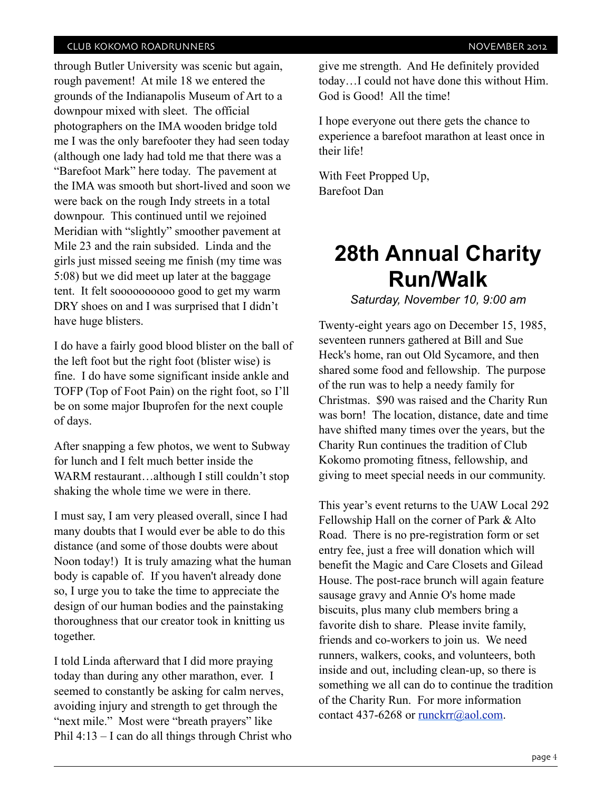through Butler University was scenic but again, rough pavement! At mile 18 we entered the grounds of the Indianapolis Museum of Art to a downpour mixed with sleet. The official photographers on the IMA wooden bridge told me I was the only barefooter they had seen today (although one lady had told me that there was a "Barefoot Mark" here today. The pavement at the IMA was smooth but short-lived and soon we were back on the rough Indy streets in a total downpour. This continued until we rejoined Meridian with "slightly" smoother pavement at Mile 23 and the rain subsided. Linda and the girls just missed seeing me finish (my time was 5:08) but we did meet up later at the baggage tent. It felt soooooooooo good to get my warm DRY shoes on and I was surprised that I didn't have huge blisters.

I do have a fairly good blood blister on the ball of the left foot but the right foot (blister wise) is fine. I do have some significant inside ankle and TOFP (Top of Foot Pain) on the right foot, so I'll be on some major Ibuprofen for the next couple of days.

After snapping a few photos, we went to Subway for lunch and I felt much better inside the WARM restaurant...although I still couldn't stop shaking the whole time we were in there.

I must say, I am very pleased overall, since I had many doubts that I would ever be able to do this distance (and some of those doubts were about Noon today!) It is truly amazing what the human body is capable of. If you haven't already done so, I urge you to take the time to appreciate the design of our human bodies and the painstaking thoroughness that our creator took in knitting us together.

I told Linda afterward that I did more praying today than during any other marathon, ever. I seemed to constantly be asking for calm nerves, avoiding injury and strength to get through the "next mile." Most were "breath prayers" like Phil 4:13 – I can do all things through Christ who give me strength. And He definitely provided today…I could not have done this without Him. God is Good! All the time!

I hope everyone out there gets the chance to experience a barefoot marathon at least once in their life!

With Feet Propped Up, Barefoot Dan

### **28th Annual Charity Run/Walk**

*Saturday, November 10, 9:00 am*

Twenty-eight years ago on December 15, 1985, seventeen runners gathered at Bill and Sue Heck's home, ran out Old Sycamore, and then shared some food and fellowship. The purpose of the run was to help a needy family for Christmas. \$90 was raised and the Charity Run was born! The location, distance, date and time have shifted many times over the years, but the Charity Run continues the tradition of Club Kokomo promoting fitness, fellowship, and giving to meet special needs in our community.

This year's event returns to the UAW Local 292 Fellowship Hall on the corner of Park & Alto Road. There is no pre-registration form or set entry fee, just a free will donation which will benefit the Magic and Care Closets and Gilead House. The post-race brunch will again feature sausage gravy and Annie O's home made biscuits, plus many club members bring a favorite dish to share. Please invite family, friends and co-workers to join us. We need runners, walkers, cooks, and volunteers, both inside and out, including clean-up, so there is something we all can do to continue the tradition of the Charity Run. For more information contact 437-6268 or [runckrr@aol.com.](mailto:runckrr@aol.com)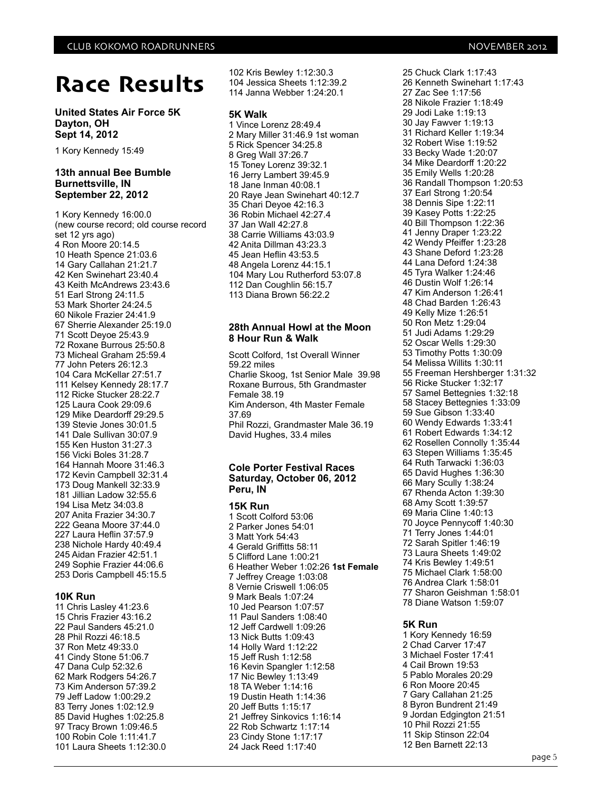## **Race Results**

**United States Air Force 5K Dayton, OH Sept 14, 2012**

1 Kory Kennedy 15:49

#### **13th annual Bee Bumble Burnettsville, IN September 22, 2012**

1 Kory Kennedy 16:00.0 (new course record; old course record set 12 yrs ago) 4 Ron Moore 20:14.5 10 Heath Spence 21:03.6 14 Gary Callahan 21:21.7 42 Ken Swinehart 23:40.4 43 Keith McAndrews 23:43.6 51 Earl Strong 24:11.5 53 Mark Shorter 24:24.5 60 Nikole Frazier 24:41.9 67 Sherrie Alexander 25:19.0 71 Scott Deyoe 25:43.9 72 Roxane Burrous 25:50.8 73 Micheal Graham 25:59.4 77 John Peters 26:12.3 104 Cara McKellar 27:51.7 111 Kelsey Kennedy 28:17.7 112 Ricke Stucker 28:22.7 125 Laura Cook 29:09.6 129 Mike Deardorff 29:29.5 139 Stevie Jones 30:01.5 141 Dale Sullivan 30:07.9 155 Ken Huston 31:27.3 156 Vicki Boles 31:28.7 164 Hannah Moore 31:46.3 172 Kevin Campbell 32:31.4 173 Doug Mankell 32:33.9 181 Jillian Ladow 32:55.6 194 Lisa Metz 34:03.8 207 Anita Frazier 34:30.7 222 Geana Moore 37:44.0 227 Laura Heflin 37:57.9 238 Nichole Hardy 40:49.4 245 Aidan Frazier 42:51.1 249 Sophie Frazier 44:06.6 253 Doris Campbell 45:15.5

#### **10K Run**

11 Chris Lasley 41:23.6 15 Chris Frazier 43:16.2 22 Paul Sanders 45:21.0 28 Phil Rozzi 46:18.5 37 Ron Metz 49:33.0 41 Cindy Stone 51:06.7 47 Dana Culp 52:32.6 62 Mark Rodgers 54:26.7 73 Kim Anderson 57:39.2 79 Jeff Ladow 1:00:29.2 83 Terry Jones 1:02:12.9 85 David Hughes 1:02:25.8 97 Tracy Brown 1:09:46.5 100 Robin Cole 1:11:41.7 101 Laura Sheets 1:12:30.0 102 Kris Bewley 1:12:30.3 104 Jessica Sheets 1:12:39.2 114 Janna Webber 1:24:20.1

#### **5K Walk**

1 Vince Lorenz 28:49.4 2 Mary Miller 31:46.9 1st woman 5 Rick Spencer 34:25.8 8 Greg Wall 37:26.7 15 Toney Lorenz 39:32.1 16 Jerry Lambert 39:45.9 18 Jane Inman 40:08.1 20 Raye Jean Swinehart 40:12.7 35 Chari Deyoe 42:16.3 36 Robin Michael 42:27.4 37 Jan Wall 42:27.8 38 Carrie Williams 43:03.9 42 Anita Dillman 43:23.3 45 Jean Heflin 43:53.5 48 Angela Lorenz 44:15.1 104 Mary Lou Rutherford 53:07.8 112 Dan Coughlin 56:15.7 113 Diana Brown 56:22.2

#### **28th Annual Howl at the Moon 8 Hour Run & Walk**

Scott Colford, 1st Overall Winner 59.22 miles Charlie Skoog, 1st Senior Male 39.98 Roxane Burrous, 5th Grandmaster Female 38.19 Kim Anderson, 4th Master Female 37.69 Phil Rozzi, Grandmaster Male 36.19 David Hughes, 33.4 miles

#### **Cole Porter Festival Races Saturday, October 06, 2012 Peru, IN**

**15K Run** 1 Scott Colford 53:06 2 Parker Jones 54:01 3 Matt York 54:43 4 Gerald Griffitts 58:11 5 Clifford Lane 1:00:21 6 Heather Weber 1:02:26 **1st Female** 7 Jeffrey Creage 1:03:08 8 Vernie Criswell 1:06:05 9 Mark Beals 1:07:24 10 Jed Pearson 1:07:57 11 Paul Sanders 1:08:40 12 Jeff Cardwell 1:09:26 13 Nick Butts 1:09:43 14 Holly Ward 1:12:22 15 Jeff Rush 1:12:58 16 Kevin Spangler 1:12:58 17 Nic Bewley 1:13:49 18 TA Weber 1:14:16 19 Dustin Heath 1:14:36 20 Jeff Butts 1:15:17 21 Jeffrey Sinkovics 1:16:14 22 Rob Schwartz 1:17:14 23 Cindy Stone 1:17:17 24 Jack Reed 1:17:40

25 Chuck Clark 1:17:43 26 Kenneth Swinehart 1:17:43 27 Zac See 1:17:56 28 Nikole Frazier 1:18:49 29 Jodi Lake 1:19:13 30 Jay Fawver 1:19:13 31 Richard Keller 1:19:34 32 Robert Wise 1:19:52 33 Becky Wade 1:20:07 34 Mike Deardorff 1:20:22 35 Emily Wells 1:20:28 36 Randall Thompson 1:20:53 37 Earl Strong 1:20:54 38 Dennis Sipe 1:22:11 39 Kasey Potts 1:22:25 40 Bill Thompson 1:22:36 41 Jenny Draper 1:23:22 42 Wendy Pfeiffer 1:23:28 43 Shane Deford 1:23:28 44 Lana Deford 1:24:38 45 Tyra Walker 1:24:46 46 Dustin Wolf 1:26:14 47 Kim Anderson 1:26:41 48 Chad Barden 1:26:43 49 Kelly Mize 1:26:51 50 Ron Metz 1:29:04 51 Judi Adams 1:29:29 52 Oscar Wells 1:29:30 53 Timothy Potts 1:30:09 54 Melissa Willits 1:30:11 55 Freeman Hershberger 1:31:32 56 Ricke Stucker 1:32:17 57 Samel Bettegnies 1:32:18 58 Stacey Bettegnies 1:33:09 59 Sue Gibson 1:33:40 60 Wendy Edwards 1:33:41 61 Robert Edwards 1:34:12 62 Rosellen Connolly 1:35:44 63 Stepen Williams 1:35:45 64 Ruth Tarwacki 1:36:03 65 David Hughes 1:36:30 66 Mary Scully 1:38:24 67 Rhenda Acton 1:39:30 68 Amy Scott 1:39:57 69 Maria Cline 1:40:13 70 Joyce Pennycoff 1:40:30 71 Terry Jones 1:44:01 72 Sarah Spitler 1:46:19 73 Laura Sheets 1:49:02 74 Kris Bewley 1:49:51 75 Michael Clark 1:58:00 76 Andrea Clark 1:58:01 77 Sharon Geishman 1:58:01 78 Diane Watson 1:59:07

#### **5K Run**

1 Kory Kennedy 16:59 2 Chad Carver 17:47 3 Michael Foster 17:41 4 Cail Brown 19:53 5 Pablo Morales 20:29 6 Ron Moore 20:45 7 Gary Callahan 21:25 8 Byron Bundrent 21:49 9 Jordan Edgington 21:51 10 Phil Rozzi 21:55 11 Skip Stinson 22:04 12 Ben Barnett 22:13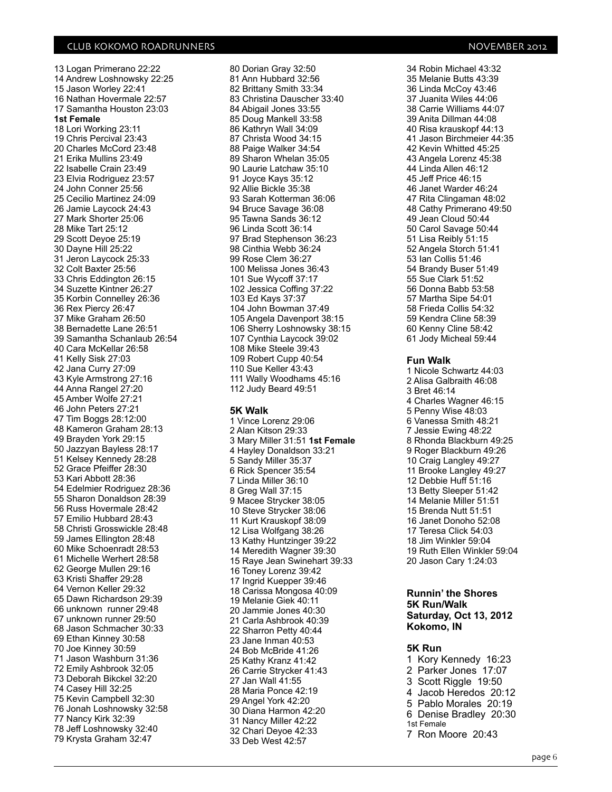13 Logan Primerano 22:22 14 Andrew Loshnowsky 22:25 15 Jason Worley 22:41 16 Nathan Hovermale 22:57 17 Samantha Houston 23:03 **1st Female** 18 Lori Working 23:11 19 Chris Percival 23:43 20 Charles McCord 23:48 21 Erika Mullins 23:49 22 Isabelle Crain 23:49 23 Elvia Rodriguez 23:57 24 John Conner 25:56 25 Cecilio Martinez 24:09 26 Jamie Laycock 24:43 27 Mark Shorter 25:06 28 Mike Tart 25:12 29 Scott Deyoe 25:19 30 Dayne Hill 25:22 31 Jeron Laycock 25:33 32 Colt Baxter 25:56 33 Chris Eddington 26:15 34 Suzette Kintner 26:27 35 Korbin Connelley 26:36 36 Rex Piercy 26:47 37 Mike Graham 26:50 38 Bernadette Lane 26:51 39 Samantha Schanlaub 26:54 40 Cara McKellar 26:58 41 Kelly Sisk 27:03 42 Jana Curry 27:09 43 Kyle Armstrong 27:16 44 Anna Rangel 27:20 45 Amber Wolfe 27:21 46 John Peters 27:21 47 Tim Boggs 28:12:00 48 Kameron Graham 28:13 49 Brayden York 29:15 50 Jazzyan Bayless 28:17 51 Kelsey Kennedy 28:28 52 Grace Pfeiffer 28:30 53 Kari Abbott 28:36 54 Edelmier Rodriguez 28:36 55 Sharon Donaldson 28:39 56 Russ Hovermale 28:42 57 Emilio Hubbard 28:43 58 Christi Grosswickle 28:48 59 James Ellington 28:48 60 Mike Schoenradt 28:53 61 Michelle Werhert 28:58 62 George Mullen 29:16 63 Kristi Shaffer 29:28 64 Vernon Keller 29:32 65 Dawn Richardson 29:39 66 unknown runner 29:48 67 unknown runner 29:50 68 Jason Schmacher 30:33 69 Ethan Kinney 30:58 70 Joe Kinney 30:59 71 Jason Washburn 31:36 72 Emily Ashbrook 32:05 73 Deborah Bikckel 32:20 74 Casey Hill 32:25 75 Kevin Campbell 32:30 76 Jonah Loshnowsky 32:58 77 Nancy Kirk 32:39 78 Jeff Loshnowsky 32:40 79 Krysta Graham 32:47

80 Dorian Gray 32:50 81 Ann Hubbard 32:56 82 Brittany Smith 33:34 83 Christina Dauscher 33:40 84 Abigail Jones 33:55 85 Doug Mankell 33:58 86 Kathryn Wall 34:09 87 Christa Wood 34:15 88 Paige Walker 34:54 89 Sharon Whelan 35:05 90 Laurie Latchaw 35:10 91 Joyce Kays 35:12 92 Allie Bickle 35:38 93 Sarah Kotterman 36:06 94 Bruce Savage 36:08 95 Tawna Sands 36:12 96 Linda Scott 36:14 97 Brad Stephenson 36:23 98 Cinthia Webb 36:24 99 Rose Clem 36:27 100 Melissa Jones 36:43 101 Sue Wycoff 37:17 102 Jessica Coffing 37:22 103 Ed Kays 37:37 104 John Bowman 37:49 105 Angela Davenport 38:15 106 Sherry Loshnowsky 38:15 107 Cynthia Laycock 39:02 108 Mike Steele 39:43 109 Robert Cupp 40:54 110 Sue Keller 43:43 111 Wally Woodhams 45:16 112 Judy Beard 49:51

#### **5K Walk**

1 Vince Lorenz 29:06 2 Alan Kitson 29:33 3 Mary Miller 31:51 **1st Female** 4 Hayley Donaldson 33:21 5 Sandy Miller 35:37 6 Rick Spencer 35:54 7 Linda Miller 36:10 8 Greg Wall 37:15 9 Macee Strycker 38:05 10 Steve Strycker 38:06 11 Kurt Krauskopf 38:09 12 Lisa Wolfgang 38:26 13 Kathy Huntzinger 39:22 14 Meredith Wagner 39:30 15 Raye Jean Swinehart 39:33 16 Toney Lorenz 39:42 17 Ingrid Kuepper 39:46 18 Carissa Mongosa 40:09 19 Melanie Giek 40:11 20 Jammie Jones 40:30 21 Carla Ashbrook 40:39 22 Sharron Petty 40:44 23 Jane Inman 40:53 24 Bob McBride 41:26 25 Kathy Kranz 41:42 26 Carrie Strycker 41:43 27 Jan Wall 41:55 28 Maria Ponce 42:19 29 Angel York 42:20 30 Diana Harmon 42:20 31 Nancy Miller 42:22 32 Chari Deyoe 42:33 33 Deb West 42:57

35 Melanie Butts 43:39 36 Linda McCoy 43:46 37 Juanita Wiles 44:06 38 Carrie Williams 44:07 39 Anita Dillman 44:08 40 Risa krauskopf 44:13 41 Jason Birchmeier 44:35 42 Kevin Whitted 45:25 43 Angela Lorenz 45:38 44 Linda Allen 46:12 45 Jeff Price 46:15 46 Janet Warder 46:24 47 Rita Clingaman 48:02 48 Cathy Primerano 49:50 49 Jean Cloud 50:44 50 Carol Savage 50:44 51 Lisa Reibly 51:15 52 Angela Storch 51:41 53 Ian Collis 51:46 54 Brandy Buser 51:49 55 Sue Clark 51:52 56 Donna Babb 53:58 57 Martha Sipe 54:01 58 Frieda Collis 54:32 59 Kendra Cline 58:39 60 Kenny Cline 58:42 61 Jody Micheal 59:44

34 Robin Michael 43:32

#### **Fun Walk**

1 Nicole Schwartz 44:03 2 Alisa Galbraith 46:08 3 Bret 46:14 4 Charles Wagner 46:15 5 Penny Wise 48:03 6 Vanessa Smith 48:21 7 Jessie Ewing 48:22 8 Rhonda Blackburn 49:25 9 Roger Blackburn 49:26 10 Craig Langley 49:27 11 Brooke Langley 49:27 12 Debbie Huff 51:16 13 Betty Sleeper 51:42 14 Melanie Miller 51:51 15 Brenda Nutt 51:51 16 Janet Donoho 52:08 17 Teresa Click 54:03 18 Jim Winkler 59:04 19 Ruth Ellen Winkler 59:04 20 Jason Cary 1:24:03

#### **Runnin' the Shores 5K Run/Walk Saturday, Oct 13, 2012 Kokomo, IN**

#### **5K Run**

- 1 Kory Kennedy 16:23 2 Parker Jones 17:07 3 Scott Riggle 19:50
- 4 Jacob Heredos 20:12
- 5 Pablo Morales 20:19
- 6 Denise Bradley 20:30
- 1st Female
- 7 Ron Moore 20:43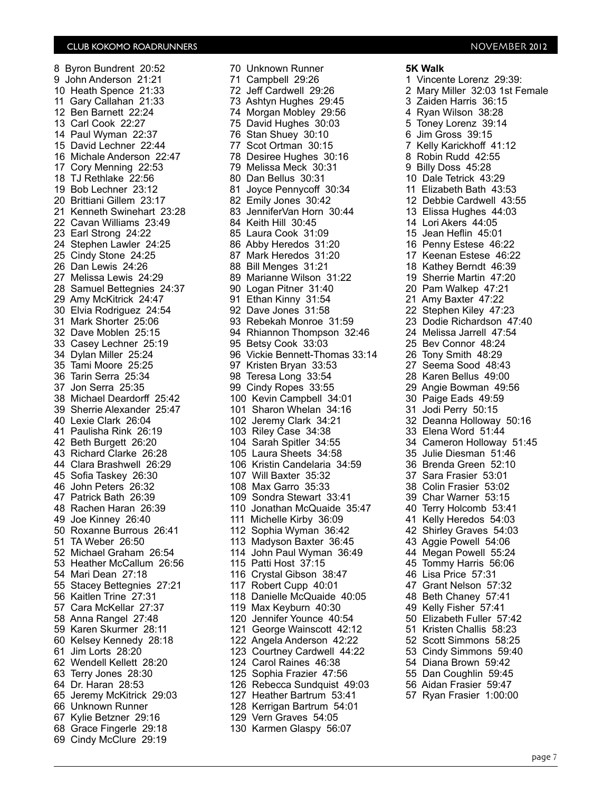8 Byron Bundrent 20:52 9 John Anderson 21:21 10 Heath Spence 21:33 11 Gary Callahan 21:33 12 Ben Barnett 22:24 13 Carl Cook 22:27 14 Paul Wyman 22:37 15 David Lechner 22:44 16 Michale Anderson 22:47 17 Cory Menning 22:53 18 TJ Rethlake 22:56 19 Bob Lechner 23:12 20 Brittiani Gillem 23:17 21 Kenneth Swinehart 23:28 22 Cavan Williams 23:49 23 Earl Strong 24:22 24 Stephen Lawler 24:25 25 Cindy Stone 24:25 26 Dan Lewis 24:26 27 Melissa Lewis 24:29 28 Samuel Bettegnies 24:37 29 Amy McKitrick 24:47 30 Elvia Rodriguez 24:54 31 Mark Shorter 25:06 32 Dave Moblen 25:15 33 Casey Lechner 25:19 34 Dylan Miller 25:24 35 Tami Moore 25:25 36 Tarin Serra 25:34 37 Jon Serra 25:35 38 Michael Deardorff 25:42 39 Sherrie Alexander 25:47 40 Lexie Clark 26:04 41 Paulisha Rink 26:19 42 Beth Burgett 26:20 43 Richard Clarke 26:28 44 Clara Brashwell 26:29 45 Sofia Taskey 26:30 46 John Peters 26:32 47 Patrick Bath 26:39 48 Rachen Haran 26:39 49 Joe Kinney 26:40 50 Roxanne Burrous 26:41 51 TA Weber 26:50 52 Michael Graham 26:54 53 Heather McCallum 26:56 54 Mari Dean 27:18 55 Stacey Bettegnies 27:21 56 Kaitlen Trine 27:31 57 Cara McKellar 27:37 58 Anna Rangel 27:48 59 Karen Skurmer 28:11 60 Kelsey Kennedy 28:18 61 Jim Lorts 28:20 62 Wendell Kellett 28:20 63 Terry Jones 28:30 64 Dr. Haran 28:53 65 Jeremy McKitrick 29:03 66 Unknown Runner 67 Kylie Betzner 29:16 68 Grace Fingerle 29:18 69 Cindy McClure 29:19

70 Unknown Runner 71 Campbell 29:26 72 Jeff Cardwell 29:26 73 Ashtyn Hughes 29:45 74 Morgan Mobley 29:56 75 David Hughes 30:03 76 Stan Shuey 30:10 77 Scot Ortman 30:15 78 Desiree Hughes 30:16 79 Melissa Meck 30:31 80 Dan Bellus 30:31 81 Joyce Pennycoff 30:34 82 Emily Jones 30:42 83 JenniferVan Horn 30:44 84 Keith Hill 30:45 85 Laura Cook 31:09 86 Abby Heredos 31:20 87 Mark Heredos 31:20 88 Bill Menges 31:21 89 Marianne Wilson 31:22 90 Logan Pitner 31:40 91 Ethan Kinny 31:54 92 Dave Jones 31:58 93 Rebekah Monroe 31:59 94 Rhiannon Thompson 32:46 95 Betsy Cook 33:03 96 Vickie Bennett-Thomas 33:14 97 Kristen Bryan 33:53 98 Teresa Long 33:54 99 Cindy Ropes 33:55 100 Kevin Campbell 34:01 101 Sharon Whelan 34:16 102 Jeremy Clark 34:21 103 Riley Case 34:38 104 Sarah Spitler 34:55 105 Laura Sheets 34:58 106 Kristin Candelaria 34:59 107 Will Baxter 35:32 108 Max Garro 35:33 109 Sondra Stewart 33:41 110 Jonathan McQuaide 35:47 111 Michelle Kirby 36:09 112 Sophia Wyman 36:42 113 Madyson Baxter 36:45 114 John Paul Wyman 36:49 115 Patti Host 37:15 116 Crystal Gibson 38:47 117 Robert Cupp 40:01 118 Danielle McQuaide 40:05 119 Max Keyburn 40:30 120 Jennifer Younce 40:54 121 George Wainscott 42:12 122 Angela Anderson 42:22 123 Courtney Cardwell 44:22 124 Carol Raines 46:38 125 Sophia Frazier 47:56 126 Rebecca Sundquist 49:03 127 Heather Bartrum 53:41 128 Kerrigan Bartrum 54:01 129 Vern Graves 54:05 130 Karmen Glaspy 56:07

**5K Walk** 1 Vincente Lorenz 29:39: 2 Mary Miller 32:03 1st Female 3 Zaiden Harris 36:15 4 Ryan Wilson 38:28 5 Toney Lorenz 39:14 6 Jim Gross 39:15 7 Kelly Karickhoff 41:12 8 Robin Rudd 42:55 9 Billy Doss 45:28 10 Dale Tetrick 43:29 11 Elizabeth Bath 43:53 12 Debbie Cardwell 43:55 13 Elissa Hughes 44:03 14 Lori Akers 44:05 15 Jean Heflin 45:01 16 Penny Estese 46:22 17 Keenan Estese 46:22 18 Kathey Berndt 46:39 19 Sherrie Martin 47:20 20 Pam Walkep 47:21 21 Amy Baxter 47:22 22 Stephen Kiley 47:23 23 Dodie Richardson 47:40 24 Melissa Jarrell 47:54 25 Bev Connor 48:24 26 Tony Smith 48:29 27 Seema Sood 48:43 28 Karen Bellus 49:00 29 Angie Bowman 49:56 30 Paige Eads 49:59 31 Jodi Perry 50:15 32 Deanna Holloway 50:16 33 Elena Word 51:44 34 Cameron Holloway 51:45 35 Julie Diesman 51:46 36 Brenda Green 52:10 37 Sara Frasier 53:01 38 Colin Frasier 53:02 39 Char Warner 53:15 40 Terry Holcomb 53:41 41 Kelly Heredos 54:03 42 Shirley Graves 54:03 43 Aggie Powell 54:06 44 Megan Powell 55:24 45 Tommy Harris 56:06 46 Lisa Price 57:31 47 Grant Nelson 57:32 48 Beth Chaney 57:41 49 Kelly Fisher 57:41 50 Elizabeth Fuller 57:42 51 Kristen Challis 58:23 52 Scott Simmons 58:25 53 Cindy Simmons 59:40 54 Diana Brown 59:42 55 Dan Coughlin 59:45 56 Aidan Frasier 59:47 57 Ryan Frasier 1:00:00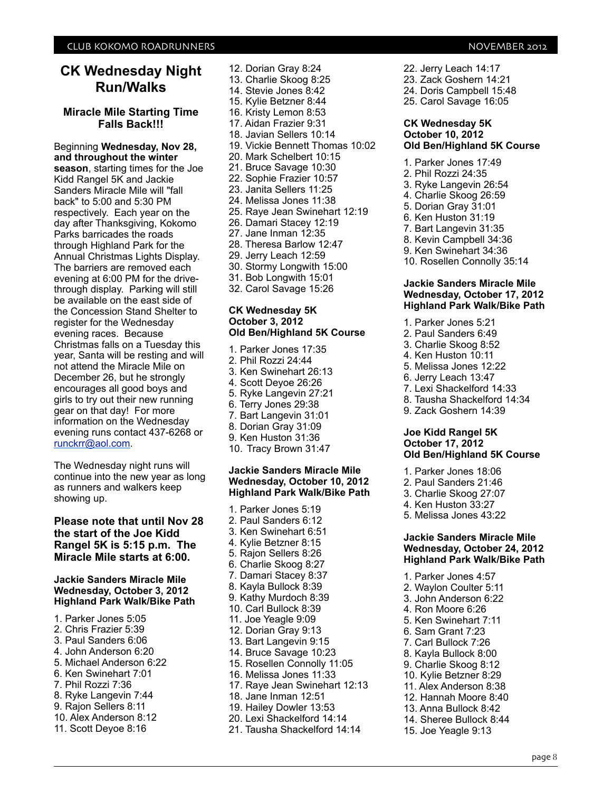### **CK Wednesday Night Run/Walks**

#### **Miracle Mile Starting Time Falls Back!!!**

Beginning **Wednesday, Nov 28, and throughout the winter season**, starting times for the Joe Kidd Rangel 5K and Jackie Sanders Miracle Mile will "fall back" to 5:00 and 5:30 PM respectively. Each year on the day after Thanksgiving, Kokomo Parks barricades the roads through Highland Park for the Annual Christmas Lights Display. The barriers are removed each evening at 6:00 PM for the drivethrough display. Parking will still be available on the east side of the Concession Stand Shelter to register for the Wednesday evening races. Because Christmas falls on a Tuesday this year, Santa will be resting and will not attend the Miracle Mile on December 26, but he strongly encourages all good boys and girls to try out their new running gear on that day! For more information on the Wednesday evening runs contact 437-6268 or [runckrr@aol.com.](mailto:runckrr@aol.com)

The Wednesday night runs will continue into the new year as long as runners and walkers keep showing up.

#### **Please note that until Nov 28 the start of the Joe Kidd Rangel 5K is 5:15 p.m. The Miracle Mile starts at 6:00.**

#### **Jackie Sanders Miracle Mile Wednesday, October 3, 2012 Highland Park Walk/Bike Path**

- 1. Parker Jones 5:05
- 2. Chris Frazier 5:39
- 3. Paul Sanders 6:06
- 4. John Anderson 6:20
- 5. Michael Anderson 6:22
- 6. Ken Swinehart 7:01
- 7. Phil Rozzi 7:36
- 8. Ryke Langevin 7:44
- 9. Rajon Sellers 8:11
- 10. Alex Anderson 8:12
- 11. Scott Deyoe 8:16

12. Dorian Gray 8:24 13. Charlie Skoog 8:25 14. Stevie Jones 8:42 15. Kylie Betzner 8:44 16. Kristy Lemon 8:53 17. Aidan Frazier 9:31 18. Javian Sellers 10:14 19. Vickie Bennett Thomas 10:02 20. Mark Schelbert 10:15 21. Bruce Savage 10:30 22. Sophie Frazier 10:57 23. Janita Sellers 11:25 24. Melissa Jones 11:38 25. Raye Jean Swinehart 12:19 26. Damari Stacey 12:19 27. Jane Inman 12:35 28. Theresa Barlow 12:47 29. Jerry Leach 12:59 30. Stormy Longwith 15:00 31. Bob Longwith 15:01 32. Carol Savage 15:26

#### **CK Wednesday 5K October 3, 2012 Old Ben/Highland 5K Course**

1. Parker Jones 17:35 2. Phil Rozzi 24:44 3. Ken Swinehart 26:13 4. Scott Deyoe 26:26 5. Ryke Langevin 27:21 6. Terry Jones 29:38 7. Bart Langevin 31:01 8. Dorian Gray 31:09 9. Ken Huston 31:36 10. Tracy Brown 31:47

#### **Jackie Sanders Miracle Mile Wednesday, October 10, 2012 Highland Park Walk/Bike Path**

1. Parker Jones 5:19 2. Paul Sanders 6:12 3. Ken Swinehart 6:51 4. Kylie Betzner 8:15 5. Rajon Sellers 8:26 6. Charlie Skoog 8:27 7. Damari Stacey 8:37 8. Kayla Bullock 8:39 9. Kathy Murdoch 8:39 10. Carl Bullock 8:39 11. Joe Yeagle 9:09 12. Dorian Gray 9:13 13. Bart Langevin 9:15 14. Bruce Savage 10:23 15. Rosellen Connolly 11:05 16. Melissa Jones 11:33 17. Raye Jean Swinehart 12:13 18. Jane Inman 12:51 19. Hailey Dowler 13:53 20. Lexi Shackelford 14:14 21. Tausha Shackelford 14:14

- 22. Jerry Leach 14:17
- 23. Zack Goshern 14:21
- 24. Doris Campbell 15:48
- 25. Carol Savage 16:05

#### **CK Wednesday 5K October 10, 2012 Old Ben/Highland 5K Course**

- 1. Parker Jones 17:49
- 2. Phil Rozzi 24:35
- 3. Ryke Langevin 26:54
- 4. Charlie Skoog 26:59
- 5. Dorian Gray 31:01
- 6. Ken Huston 31:19
- 7. Bart Langevin 31:35
- 8. Kevin Campbell 34:36
- 9. Ken Swinehart 34:36
- 10. Rosellen Connolly 35:14

#### **Jackie Sanders Miracle Mile Wednesday, October 17, 2012 Highland Park Walk/Bike Path**

- 1. Parker Jones 5:21
- 2. Paul Sanders 6:49
- 3. Charlie Skoog 8:52
- 4. Ken Huston 10:11
- 5. Melissa Jones 12:22
- 6. Jerry Leach 13:47
- 7. Lexi Shackelford 14:33
- 8. Tausha Shackelford 14:34
- 9. Zack Goshern 14:39

#### **Joe Kidd Rangel 5K October 17, 2012 Old Ben/Highland 5K Course**

- 1. Parker Jones 18:06
- 2. Paul Sanders 21:46
- 3. Charlie Skoog 27:07
- 4. Ken Huston 33:27
- 5. Melissa Jones 43:22

#### **Jackie Sanders Miracle Mile Wednesday, October 24, 2012 Highland Park Walk/Bike Path**

- 1. Parker Jones 4:57
- 2. Waylon Coulter 5:11
- 3. John Anderson 6:22
- 4. Ron Moore 6:26
- 5. Ken Swinehart 7:11
- 6. Sam Grant 7:23
- 7. Carl Bullock 7:26
- 8. Kayla Bullock 8:00
- 9. Charlie Skoog 8:12
- 10. Kylie Betzner 8:29
- 11. Alex Anderson 8:38
- 12. Hannah Moore 8:40
- 13. Anna Bullock 8:42
- 14. Sheree Bullock 8:44
- 15. Joe Yeagle 9:13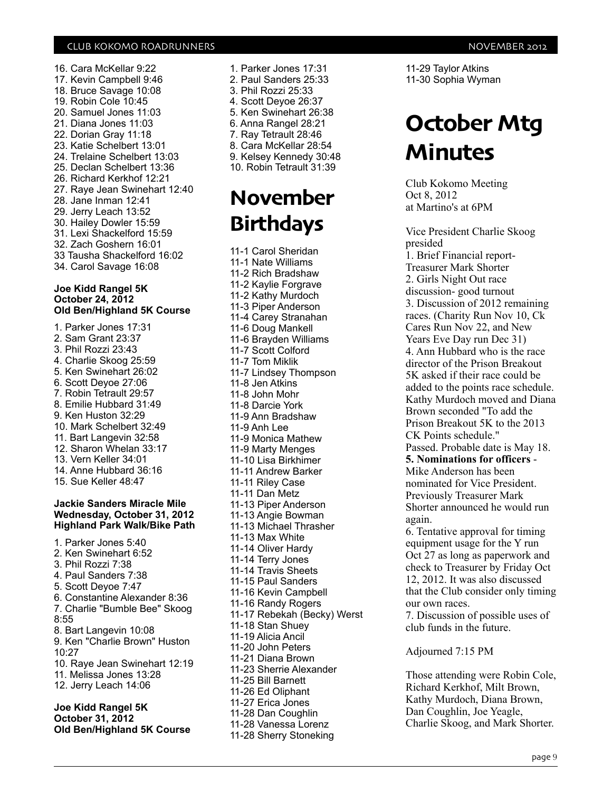16. Cara McKellar 9:22 17. Kevin Campbell 9:46 18. Bruce Savage 10:08 19. Robin Cole 10:45 20. Samuel Jones 11:03 21. Diana Jones 11:03 22. Dorian Gray 11:18 23. Katie Schelbert 13:01 24. Trelaine Schelbert 13:03 25. Declan Schelbert 13:36 26. Richard Kerkhof 12:21 27. Raye Jean Swinehart 12:40 28. Jane Inman 12:41 29. Jerry Leach 13:52 30. Hailey Dowler 15:59 31. Lexi Shackelford 15:59 32. Zach Goshern 16:01 33 Tausha Shackelford 16:02 34. Carol Savage 16:08

#### **Joe Kidd Rangel 5K October 24, 2012 Old Ben/Highland 5K Course**

1. Parker Jones 17:31 2. Sam Grant 23:37 3. Phil Rozzi 23:43 4. Charlie Skoog 25:59 5. Ken Swinehart 26:02 6. Scott Deyoe 27:06 7. Robin Tetrault 29:57 8. Emilie Hubbard 31:49 9. Ken Huston 32:29 10. Mark Schelbert 32:49 11. Bart Langevin 32:58 12. Sharon Whelan 33:17 13. Vern Keller 34:01 14. Anne Hubbard 36:16 15. Sue Keller 48:47

#### **Jackie Sanders Miracle Mile Wednesday, October 31, 2012 Highland Park Walk/Bike Path**

1. Parker Jones 5:40 2. Ken Swinehart 6:52 3. Phil Rozzi 7:38 4. Paul Sanders 7:38 5. Scott Deyoe 7:47 6. Constantine Alexander 8:36 7. Charlie "Bumble Bee" Skoog 8:55 8. Bart Langevin 10:08 9. Ken "Charlie Brown" Huston 10:27 10. Raye Jean Swinehart 12:19 11. Melissa Jones 13:28 12. Jerry Leach 14:06 **Joe Kidd Rangel 5K**

#### **October 31, 2012 Old Ben/Highland 5K Course**

1. Parker Jones 17:31 2. Paul Sanders 25:33 3. Phil Rozzi 25:33 4. Scott Deyoe 26:37 5. Ken Swinehart 26:38 6. Anna Rangel 28:21 7. Ray Tetrault 28:46 8. Cara McKellar 28:54 9. Kelsey Kennedy 30:48 10. Robin Tetrault 31:39

## **November Birthdays**

11-1 Carol Sheridan 11-1 Nate Williams 11-2 Rich Bradshaw 11-2 Kaylie Forgrave 11-2 Kathy Murdoch 11-3 Piper Anderson 11-4 Carey Stranahan 11-6 Doug Mankell 11-6 Brayden Williams 11-7 Scott Colford 11-7 Tom Miklik 11-7 Lindsey Thompson 11-8 Jen Atkins 11-8 John Mohr 11-8 Darcie York 11-9 Ann Bradshaw 11-9 Anh Lee 11-9 Monica Mathew 11-9 Marty Menges 11-10 Lisa Birkhimer 11-11 Andrew Barker 11-11 Riley Case 11-11 Dan Metz 11-13 Piper Anderson 11-13 Angie Bowman 11-13 Michael Thrasher 11-13 Max White 11-14 Oliver Hardy 11-14 Terry Jones 11-14 Travis Sheets 11-15 Paul Sanders 11-16 Kevin Campbell 11-16 Randy Rogers 11-17 Rebekah (Becky) Werst 11-18 Stan Shuey 11-19 Alicia Ancil 11-20 John Peters 11-21 Diana Brown 11-23 Sherrie Alexander 11-25 Bill Barnett 11-26 Ed Oliphant 11-27 Erica Jones 11-28 Dan Coughlin 11-28 Vanessa Lorenz 11-28 Sherry Stoneking

11-29 Taylor Atkins 11-30 Sophia Wyman

# **October Mtg Minutes**

Club Kokomo Meeting Oct 8, 2012 at Martino's at 6PM

Vice President Charlie Skoog presided 1. Brief Financial report-Treasurer Mark Shorter 2. Girls Night Out race discussion- good turnout 3. Discussion of 2012 remaining races. (Charity Run Nov 10, Ck Cares Run Nov 22, and New Years Eve Day run Dec 31) 4. Ann Hubbard who is the race director of the Prison Breakout 5K asked if their race could be added to the points race schedule. Kathy Murdoch moved and Diana Brown seconded "To add the Prison Breakout 5K to the 2013 CK Points schedule." Passed. Probable date is May 18. **5. Nominations for officers** - Mike Anderson has been nominated for Vice President. Previously Treasurer Mark Shorter announced he would run again. 6. Tentative approval for timing equipment usage for the Y run Oct 27 as long as paperwork and check to Treasurer by Friday Oct 12, 2012. It was also discussed that the Club consider only timing our own races. 7. Discussion of possible uses of club funds in the future.

Adjourned 7:15 PM

Those attending were Robin Cole, Richard Kerkhof, Milt Brown, Kathy Murdoch, Diana Brown, Dan Coughlin, Joe Yeagle, Charlie Skoog, and Mark Shorter.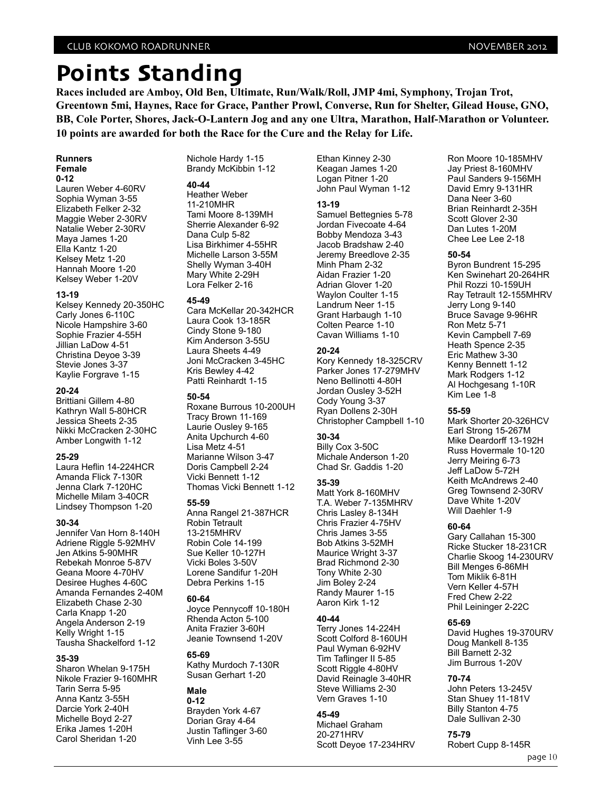**Races included are Amboy, Old Ben, Ultimate, Run/Walk/Roll, JMP 4mi, Symphony, Trojan Trot, Greentown 5mi, Haynes, Race for Grace, Panther Prowl, Converse, Run for Shelter, Gilead House, GNO, BB, Cole Porter, Shores, Jack-O-Lantern Jog and any one Ultra, Marathon, Half-Marathon or Volunteer. 10 points are awarded for both the Race for the Cure and the Relay for Life.**

#### **Runners Female 0-12**

Lauren Weber 4-60RV Sophia Wyman 3-55 Elizabeth Felker 2-32 Maggie Weber 2-30RV Natalie Weber 2-30RV Maya James 1-20 Ella Kantz 1-20 Kelsey Metz 1-20 Hannah Moore 1-20 Kelsey Weber 1-20V

#### **13-19**

Kelsey Kennedy 20-350HC Carly Jones 6-110C Nicole Hampshire 3-60 Sophie Frazier 4-55H Jillian LaDow 4-51 Christina Deyoe 3-39 Stevie Jones 3-37 Kaylie Forgrave 1-15

#### **20-24**

Brittiani Gillem 4-80 Kathryn Wall 5-80HCR Jessica Sheets 2-35 Nikki McCracken 2-30HC Amber Longwith 1-12

#### **25-29**

Laura Heflin 14-224HCR Amanda Flick 7-130R Jenna Clark 7-120HC Michelle Milam 3-40CR Lindsey Thompson 1-20

#### **30-34**

Jennifer Van Horn 8-140H Adriene Riggle 5-92MHV Jen Atkins 5-90MHR Rebekah Monroe 5-87V Geana Moore 4-70HV Desiree Hughes 4-60C Amanda Fernandes 2-40M Elizabeth Chase 2-30 Carla Knapp 1-20 Angela Anderson 2-19 Kelly Wright 1-15 Tausha Shackelford 1-12

#### **35-39**

Sharon Whelan 9-175H Nikole Frazier 9-160MHR Tarin Serra 5-95 Anna Kantz 3-55H Darcie York 2-40H Michelle Boyd 2-27 Erika James 1-20H Carol Sheridan 1-20

Nichole Hardy 1-15 Brandy McKibbin 1-12

#### **40-44**

Heather Weber 11-210MHR Tami Moore 8-139MH Sherrie Alexander 6-92 Dana Culp 5-82 Lisa Birkhimer 4-55HR Michelle Larson 3-55M Shelly Wyman 3-40H Mary White 2-29H Lora Felker 2-16

#### **45-49**

Cara McKellar 20-342HCR Laura Cook 13-185R Cindy Stone 9-180 Kim Anderson 3-55U Laura Sheets 4-49 Joni McCracken 3-45HC Kris Bewley 4-42 Patti Reinhardt 1-15

#### **50-54**

Roxane Burrous 10-200UH Tracy Brown 11-169 Laurie Ousley 9-165 Anita Upchurch 4-60 Lisa Metz 4-51 Marianne Wilson 3-47 Doris Campbell 2-24 Vicki Bennett 1-12 Thomas Vicki Bennett 1-12

#### **55-59**

Anna Rangel 21-387HCR Robin Tetrault 13-215MHRV Robin Cole 14-199 Sue Keller 10-127H Vicki Boles 3-50V Lorene Sandifur 1-20H Debra Perkins 1-15

#### **60-64**

Joyce Pennycoff 10-180H Rhenda Acton 5-100 Anita Frazier 3-60H Jeanie Townsend 1-20V

#### **65-69**

Kathy Murdoch 7-130R Susan Gerhart 1-20

#### **Male**

**0-12** Brayden York 4-67 Dorian Gray 4-64 Justin Taflinger 3-60 Vinh Lee 3-55

Ethan Kinney 2-30 Keagan James 1-20 Logan Pitner 1-20 John Paul Wyman 1-12

#### **13-19**

Samuel Bettegnies 5-78 Jordan Fivecoate 4-64 Bobby Mendoza 3-43 Jacob Bradshaw 2-40 Jeremy Breedlove 2-35 Minh Pham 2-32 Aidan Frazier 1-20 Adrian Glover 1-20 Waylon Coulter 1-15 Landrum Neer 1-15 Grant Harbaugh 1-10 Colten Pearce 1-10 Cavan Williams 1-10

#### **20-24**

Kory Kennedy 18-325CRV Parker Jones 17-279MHV Neno Bellinotti 4-80H Jordan Ousley 3-52H Cody Young 3-37 Ryan Dollens 2-30H Christopher Campbell 1-10

#### **30-34**

Billy Cox 3-50C Michale Anderson 1-20 Chad Sr. Gaddis 1-20

#### **35-39**

Matt York 8-160MHV T.A. Weber 7-135MHRV Chris Lasley 8-134H Chris Frazier 4-75HV Chris James 3-55 Bob Atkins 3-52MH Maurice Wright 3-37 Brad Richmond 2-30 Tony White 2-30 Jim Boley 2-24 Randy Maurer 1-15 Aaron Kirk 1-12

#### **40-44**

Terry Jones 14-224H Scott Colford 8-160UH Paul Wyman 6-92HV Tim Taflinger II 5-85 Scott Riggle 4-80HV David Reinagle 3-40HR Steve Williams 2-30 Vern Graves 1-10

#### **45-49**

Michael Graham 20-271HRV Scott Deyoe 17-234HRV Ron Moore 10-185MHV Jay Priest 8-160MHV Paul Sanders 9-156MH David Emry 9-131HR Dana Neer 3-60 Brian Reinhardt 2-35H Scott Glover 2-30 Dan Lutes 1-20M Chee Lee Lee 2-18

#### **50-54**

Byron Bundrent 15-295 Ken Swinehart 20-264HR Phil Rozzi 10-159UH Ray Tetrault 12-155MHRV Jerry Long 9-140 Bruce Savage 9-96HR Ron Metz 5-71 Kevin Campbell 7-69 Heath Spence 2-35 Eric Mathew 3-30 Kenny Bennett 1-12 Mark Rodgers 1-12 Al Hochgesang 1-10R Kim Lee 1-8

#### **55-59**

Mark Shorter 20-326HCV Earl Strong 15-267M Mike Deardorff 13-192H Russ Hovermale 10-120 Jerry Meiring 6-73 Jeff LaDow 5-72H Keith McAndrews 2-40 Greg Townsend 2-30RV Dave White 1-20V Will Daehler 1-9

#### **60-64**

Gary Callahan 15-300 Ricke Stucker 18-231CR Charlie Skoog 14-230URV Bill Menges 6-86MH Tom Miklik 6-81H Vern Keller 4-57H Fred Chew 2-22 Phil Leininger 2-22C

#### **65-69**

David Hughes 19-370URV Doug Mankell 8-135 Bill Barnett 2-32 Jim Burrous 1-20V

#### **70-74**

John Peters 13-245V Stan Shuey 11-181V Billy Stanton 4-75 Dale Sullivan 2-30

**75-79** Robert Cupp 8-145R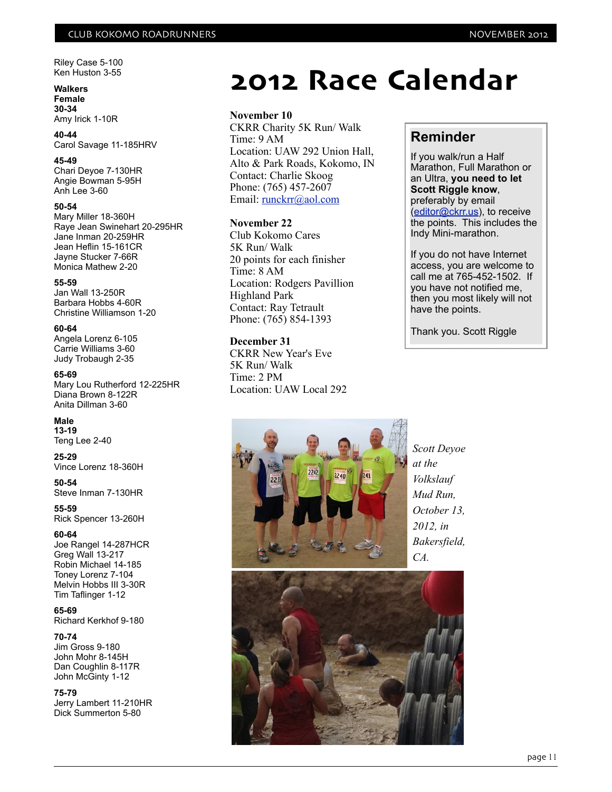Riley Case 5-100 Ken Huston 3-55

#### **Walkers Female 30-34**

Amy Irick 1-10R

**40-44** Carol Savage 11-185HRV

#### **45-49**

Chari Deyoe 7-130HR Angie Bowman 5-95H Anh Lee 3-60

#### **50-54**

Mary Miller 18-360H Raye Jean Swinehart 20-295HR Jane Inman 20-259HR Jean Heflin 15-161CR Jayne Stucker 7-66R Monica Mathew 2-20

#### **55-59**

Jan Wall 13-250R Barbara Hobbs 4-60R Christine Williamson 1-20

#### **60-64**

Angela Lorenz 6-105 Carrie Williams 3-60 Judy Trobaugh 2-35

#### **65-69**

Mary Lou Rutherford 12-225HR Diana Brown 8-122R Anita Dillman 3-60

#### **Male**

**13-19** Teng Lee 2-40

**25-29** Vince Lorenz 18-360H

**50-54** Steve Inman 7-130HR

**55-59** Rick Spencer 13-260H

#### **60-64**

Joe Rangel 14-287HCR Greg Wall 13-217 Robin Michael 14-185 Toney Lorenz 7-104 Melvin Hobbs III 3-30R Tim Taflinger 1-12

#### **65-69**

Richard Kerkhof 9-180

#### **70-74**

Jim Gross 9-180 John Mohr 8-145H Dan Coughlin 8-117R John McGinty 1-12

**75-79** Jerry Lambert 11-210HR Dick Summerton 5-80

# **2012 Race Calendar**

#### **November 10**

CKRR Charity 5K Run/ Walk Time: 9 AM Location: UAW 292 Union Hall, Alto & Park Roads, Kokomo, IN Contact: Charlie Skoog Phone: (765) 457-2607 Email: [runckrr@aol.com](mailto:runckrr@aol.com)

#### **November 22**

Club Kokomo Cares 5K Run/ Walk 20 points for each finisher Time: 8 AM Location: Rodgers Pavillion Highland Park Contact: Ray Tetrault Phone: (765) 854-1393

#### **December 31**

CKRR New Year's Eve 5K Run/ Walk Time: 2 PM Location: UAW Local 292

### **Reminder**

If you walk/run a Half Marathon, Full Marathon or an Ultra, **you need to let Scott Riggle know**, preferably by email [\(editor@ckrr.us\)](mailto:editor@ckrr.us), to receive the points. This includes the Indy Mini-marathon.

If you do not have Internet access, you are welcome to call me at 765-452-1502. If you have not notified me, then you most likely will not have the points.

Thank you. Scott Riggle



*Scott Deyoe at the Volkslauf Mud Run, October 13, 2012, in Bakersfield, CA.*